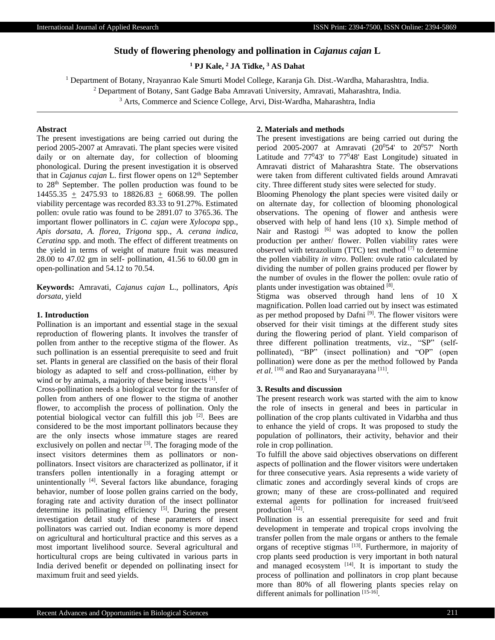# **Study of flowering phenology and pollination in** *Cajanus cajan* **L**

**<sup>1</sup> PJ Kale, <sup>2</sup> JA Tidke, <sup>3</sup> AS Dahat**

<sup>1</sup> Department of Botany, Nrayanrao Kale Smurti Model College, Karanja Gh. Dist.-Wardha, Maharashtra, India.

<sup>2</sup> Department of Botany, Sant Gadge Baba Amravati University, Amravati, Maharashtra, India.

<sup>3</sup> Arts, Commerce and Science College, Arvi, Dist-Wardha, Maharashtra, India

# **Abstract**

The present investigations are being carried out during the period 2005-2007 at Amravati. The plant species were visited daily or on alternate day, for collection of blooming phonological. During the present investigation it is observed that in *Cajanus cajan* L. first flower opens on 12<sup>th</sup> September to 28th September. The pollen production was found to be 14455.35 + 2475.93 to 18826.83 + 6068.99. The pollen viability percentage was recorded 83.33 to 91.27%. Estimated pollen: ovule ratio was found to be 2891.07 to 3765.36. The important flower pollinators in *C. cajan* were *Xylocopa* spp., *Apis dorsata*, *A. florea*, *Trigona* spp., *A. cerana indica*, *Ceratina* spp. and moth. The effect of different treatments on the yield in terms of weight of mature fruit was measured 28.00 to 47.02 gm in self- pollination, 41.56 to 60.00 gm in open-pollination and 54.12 to 70.54.

**Keywords:** Amravati, *Cajanus cajan* L., pollinators, *Apis dorsata,* yield

## **1. Introduction**

Pollination is an important and essential stage in the sexual reproduction of flowering plants. It involves the transfer of pollen from anther to the receptive stigma of the flower. As such pollination is an essential prerequisite to seed and fruit set. Plants in general are classified on the basis of their floral biology as adapted to self and cross-pollination, either by wind or by animals, a majority of these being insects [1].

Cross-pollination needs a biological vector for the transfer of pollen from anthers of one flower to the stigma of another flower, to accomplish the process of pollination. Only the potential biological vector can fulfill this job  $[2]$ . Bees are considered to be the most important pollinators because they are the only insects whose immature stages are reared exclusively on pollen and nectar  $[3]$ . The foraging mode of the insect visitors determines them as pollinators or nonpollinators. Insect visitors are characterized as pollinator, if it transfers pollen intentionally in a foraging attempt or unintentionally <sup>[4]</sup>. Several factors like abundance, foraging behavior, number of loose pollen grains carried on the body, foraging rate and activity duration of the insect pollinator determine its pollinating efficiency [5]. During the present investigation detail study of these parameters of insect pollinators was carried out. Indian economy is more depend on agricultural and horticultural practice and this serves as a most important livelihood source. Several agricultural and horticultural crops are being cultivated in various parts in India derived benefit or depended on pollinating insect for maximum fruit and seed yields.

# **2. Materials and methods**

The present investigations are being carried out during the period 2005-2007 at Amravati  $(20^054'$  to  $20^057'$  North Latitude and  $77^043'$  to  $77^048'$  East Longitude) situated in Amravati district of Maharashtra State. The observations were taken from different cultivated fields around Amravati city. Three different study sites were selected for study.

Blooming Phenology **t**he plant species were visited daily or on alternate day, for collection of blooming phonological observations. The opening of flower and anthesis were observed with help of hand lens (10 x). Simple method of Nair and Rastogi [6] was adopted to know the pollen production per anther/ flower. Pollen viability rates were observed with tetrazolium (TTC) test method  $[7]$  to determine the pollen viability *in vitro*. Pollen: ovule ratio calculated by dividing the number of pollen grains produced per flower by the number of ovules in the flower the pollen: ovule ratio of plants under investigation was obtained [8].

Stigma was observed through hand lens of 10 X magnification. Pollen load carried out by insect was estimated as per method proposed by Dafni<sup>[9]</sup>. The flower visitors were observed for their visit timings at the different study sites during the flowering period of plant. Yield comparison of three different pollination treatments, viz., "SP" (selfpollinated), "BP" (insect pollination) and "OP" (open pollination) were done as per the method followed by Panda et al. <sup>[10]</sup> and Rao and Suryanarayana<sup>[11]</sup>.

## **3. Results and discussion**

The present research work was started with the aim to know the role of insects in general and bees in particular in pollination of the crop plants cultivated in Vidarbha and thus to enhance the yield of crops. It was proposed to study the population of pollinators, their activity, behavior and their role in crop pollination.

To fulfill the above said objectives observations on different aspects of pollination and the flower visitors were undertaken for three consecutive years. Asia represents a wide variety of climatic zones and accordingly several kinds of crops are grown; many of these are cross-pollinated and required external agents for pollination for increased fruit/seed production [12].

Pollination is an essential prerequisite for seed and fruit development in temperate and tropical crops involving the transfer pollen from the male organs or anthers to the female organs of receptive stigmas [13]. Furthermore, in majority of crop plants seed production is very important in both natural and managed ecosystem  $[14]$ . It is important to study the process of pollination and pollinators in crop plant because more than 80% of all flowering plants species relay on different animals for pollination [15-16].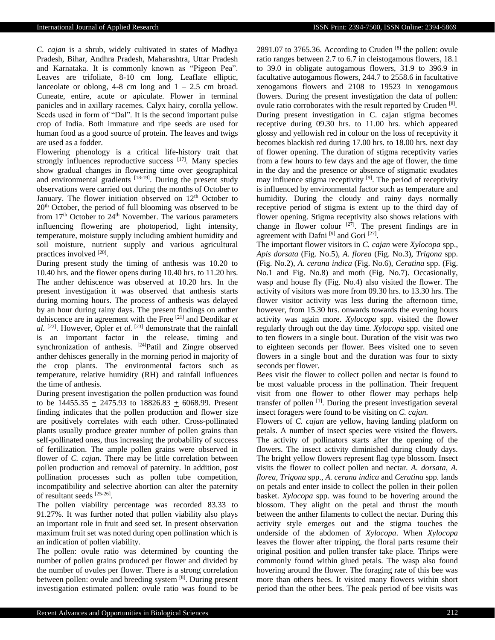*C. cajan* is a shrub, widely cultivated in states of Madhya Pradesh, Bihar, Andhra Pradesh, Maharashtra, Uttar Pradesh and Karnataka. It is commonly known as "Pigeon Pea". Leaves are trifoliate, 8-10 cm long. Leaflate elliptic, lanceolate or oblong, 4-8 cm long and  $1 - 2.5$  cm broad. Cuneate, entire, acute or apiculate. Flower in terminal panicles and in axillary racemes. Calyx hairy, corolla yellow. Seeds used in form of "Dal". It is the second important pulse crop of India. Both immature and ripe seeds are used for human food as a good source of protein. The leaves and twigs are used as a fodder.

Flowering phenology is a critical life-history trait that strongly influences reproductive success  $[17]$ . Many species show gradual changes in flowering time over geographical and environmental gradients [18-19]. During the present study observations were carried out during the months of October to January. The flower initiation observed on  $12<sup>th</sup>$  October to 20<sup>th</sup> October, the period of full blooming was observed to be from  $17<sup>th</sup>$  October to  $24<sup>th</sup>$  November. The various parameters influencing flowering are photoperiod, light intensity, temperature, moisture supply including ambient humidity and soil moisture, nutrient supply and various agricultural practices involved [20].

During present study the timing of anthesis was 10.20 to 10.40 hrs. and the flower opens during 10.40 hrs. to 11.20 hrs. The anther dehiscence was observed at 10.20 hrs. In the present investigation it was observed that anthesis starts during morning hours. The process of anthesis was delayed by an hour during rainy days. The present findings on anther dehiscence are in agreement with the Free [21] and Deodikar *et*   $al.$  <sup>[22]</sup>. However, Opler *et al.* <sup>[23]</sup> demonstrate that the rainfall is an important factor in the release, timing and synchronization of anthesis. [24]Patil and Zingre observed anther dehisces generally in the morning period in majority of the crop plants. The environmental factors such as temperature, relative humidity (RH) and rainfall influences the time of anthesis.

During present investigation the pollen production was found to be  $14455.35 + 2475.93$  to  $18826.83 + 6068.99$ . Present finding indicates that the pollen production and flower size are positively correlates with each other. Cross-pollinated plants usually produce greater number of pollen grains than self-pollinated ones, thus increasing the probability of success of fertilization. The ample pollen grains were observed in flower of *C. cajan.* There may be little correlation between pollen production and removal of paternity. In addition, post pollination processes such as pollen tube competition, incompatibility and selective abortion can alter the paternity of resultant seeds [25-26] .

The pollen viability percentage was recorded 83.33 to 91.27%. It was further noted that pollen viability also plays an important role in fruit and seed set. In present observation maximum fruit set was noted during open pollination which is an indication of pollen viability.

The pollen: ovule ratio was determined by counting the number of pollen grains produced per flower and divided by the number of ovules per flower. There is a strong correlation between pollen: ovule and breeding system [8]. During present investigation estimated pollen: ovule ratio was found to be

2891.07 to 3765.36. According to Cruden  $[8]$  the pollen: ovule ratio ranges between 2.7 to 6.7 in cleistogamous flowers, 18.1 to 39.0 in obligate autogamous flowers, 31.9 to 396.9 in facultative autogamous flowers, 244.7 to 2558.6 in facultative xenogamous flowers and 2108 to 19523 in xenogamous flowers. During the present investigation the data of pollen: ovule ratio corroborates with the result reported by Cruden [8]. During present investigation in C. cajan stigma becomes receptive during 09.30 hrs. to 11.00 hrs. which appeared glossy and yellowish red in colour on the loss of receptivity it becomes blackish red during 17.00 hrs. to 18.00 hrs. next day of flower opening. The duration of stigma receptivity varies from a few hours to few days and the age of flower, the time in the day and the presence or absence of stigmatic exudates may influence stigma receptivity [9]. The period of receptivity is influenced by environmental factor such as temperature and humidity. During the cloudy and rainy days normally receptive period of stigma is extent up to the third day of flower opening. Stigma receptivity also shows relations with change in flower colour  $[27]$ . The present findings are in agreement with Dafni<sup>[9]</sup> and Gori<sup>[27]</sup>.

The important flower visitors in *C. cajan* were *Xylocopa* spp., *Apis dorsata* (Fig. No.5), *A. florea* (Fig. No.3), *Trigona* spp. (Fig. No.2), *A. cerana indica* (Fig. No.6), *Ceratina* spp. (Fig. No.1 and Fig. No.8) and moth (Fig. No.7). Occasionally, wasp and house fly (Fig. No.4) also visited the flower. The activity of visitors was more from 09.30 hrs. to 13.30 hrs. The flower visitor activity was less during the afternoon time, however, from 15.30 hrs. onwards towards the evening hours activity was again more. *Xylocopa* spp. visited the flower regularly through out the day time. *Xylocopa* spp. visited one to ten flowers in a single bout. Duration of the visit was two to eighteen seconds per flower. Bees visited one to seven flowers in a single bout and the duration was four to sixty seconds per flower.

Bees visit the flower to collect pollen and nectar is found to be most valuable process in the pollination. Their frequent visit from one flower to other flower may perhaps help transfer of pollen<sup>[1]</sup>. During the present investigation several insect foragers were found to be visiting on *C. cajan.*

Flowers of *C. cajan* are yellow, having landing platform on petals. A number of insect species were visited the flowers. The activity of pollinators starts after the opening of the flowers. The insect activity diminished during cloudy days. The bright yellow flowers represent flag type blossom. Insect visits the flower to collect pollen and nectar. *A. dorsata*, *A. florea*, *Trigona* spp., *A. cerana indica* and *Ceratina* spp. lands on petals and enter inside to collect the pollen in their pollen basket. *Xylocopa* spp. was found to be hovering around the blossom. They alight on the petal and thrust the mouth between the anther filaments to collect the nectar. During this activity style emerges out and the stigma touches the underside of the abdomen of *Xylocopa*. When *Xylocopa* leaves the flower after tripping, the floral parts resume their original position and pollen transfer take place. Thrips were commonly found within glued petals. The wasp also found hovering around the flower. The foraging rate of this bee was more than others bees. It visited many flowers within short period than the other bees. The peak period of bee visits was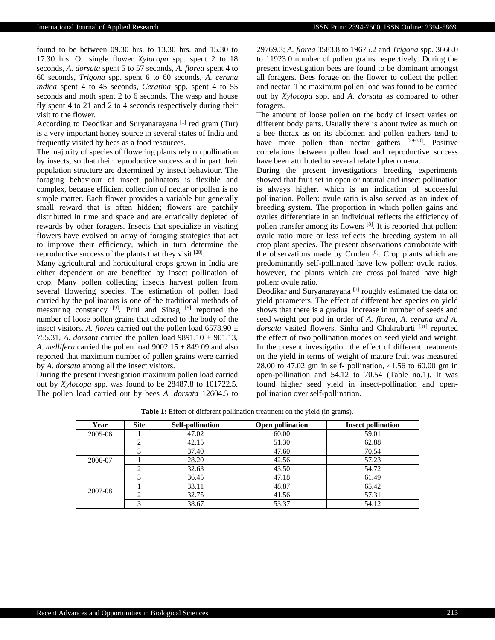found to be between 09.30 hrs. to 13.30 hrs. and 15.30 to 17.30 hrs. On single flower *Xylocopa* spp. spent 2 to 18 seconds, *A. dorsata* spent 5 to 57 seconds, *A. florea* spent 4 to 60 seconds, *Trigona* spp. spent 6 to 60 seconds, *A. cerana indica* spent 4 to 45 seconds, *Ceratina* spp. spent 4 to 55 seconds and moth spent 2 to 6 seconds. The wasp and house fly spent 4 to 21 and 2 to 4 seconds respectively during their visit to the flower.

According to Deodikar and Suryanarayana<sup>[1]</sup> red gram (Tur) is a very important honey source in several states of India and frequently visited by bees as a food resources.

The majority of species of flowering plants rely on pollination by insects, so that their reproductive success and in part their population structure are determined by insect behaviour. The foraging behaviour of insect pollinators is flexible and complex, because efficient collection of nectar or pollen is no simple matter. Each flower provides a variable but generally small reward that is often hidden; flowers are patchily distributed in time and space and are erratically depleted of rewards by other foragers. Insects that specialize in visiting flowers have evolved an array of foraging strategies that act to improve their efficiency, which in turn determine the reproductive success of the plants that they visit  $[28]$ .

Many agricultural and horticultural crops grown in India are either dependent or are benefited by insect pollination of crop. Many pollen collecting insects harvest pollen from several flowering species. The estimation of pollen load carried by the pollinators is one of the traditional methods of measuring constancy <sup>[9]</sup>. Priti and Sihag <sup>[5]</sup> reported the number of loose pollen grains that adhered to the body of the insect visitors. *A. florea* carried out the pollen load 6578.90 ± 755.31, *A. dorsata* carried the pollen load 9891.10 ± 901.13, *A. mellifera* carried the pollen load  $9002.15 \pm 849.09$  and also reported that maximum number of pollen grains were carried by *A. dorsata* among all the insect visitors.

During the present investigation maximum pollen load carried out by *Xylocopa* spp. was found to be 28487.8 to 101722.5. The pollen load carried out by bees *A. dorsata* 12604.5 to 29769.3; *A. florea* 3583.8 to 19675.2 and *Trigona* spp. 3666.0 to 11923.0 number of pollen grains respectively. During the present investigation bees are found to be dominant amongst all foragers. Bees forage on the flower to collect the pollen and nectar. The maximum pollen load was found to be carried out by *Xylocopa* spp. and *A. dorsata* as compared to other foragers.

The amount of loose pollen on the body of insect varies on different body parts. Usually there is about twice as much on a bee thorax as on its abdomen and pollen gathers tend to have more pollen than nectar gathers  $[29-30]$ . Positive correlations between pollen load and reproductive success have been attributed to several related phenomena.

During the present investigations breeding experiments showed that fruit set in open or natural and insect pollination is always higher, which is an indication of successful pollination. Pollen: ovule ratio is also served as an index of breeding system. The proportion in which pollen gains and ovules differentiate in an individual reflects the efficiency of pollen transfer among its flowers<sup>[8]</sup>. It is reported that pollen: ovule ratio more or less reflects the breeding system in all crop plant species. The present observations corroborate with the observations made by Cruden<sup>[8]</sup>. Crop plants which are predominantly self-pollinated have low pollen: ovule ratios, however, the plants which are cross pollinated have high pollen: ovule ratio*.*

Deodikar and Suryanarayana<sup>[1]</sup> roughly estimated the data on yield parameters. The effect of different bee species on yield shows that there is a gradual increase in number of seeds and seed weight per pod in order of *A. florea, A. cerana and A.*  dorsata visited flowers. Sinha and Chakrabarti<sup>[31]</sup> reported the effect of two pollination modes on seed yield and weight. In the present investigation the effect of different treatments on the yield in terms of weight of mature fruit was measured 28.00 to 47.02 gm in self- pollination, 41.56 to 60.00 gm in open-pollination and 54.12 to 70.54 (Table no.1). It was found higher seed yield in insect-pollination and openpollination over self-pollination.

**Table 1:** Effect of different pollination treatment on the yield (in grams).

| Year    | <b>Site</b> | <b>Self-pollination</b> | <b>Open pollination</b> | <b>Insect pollination</b> |
|---------|-------------|-------------------------|-------------------------|---------------------------|
| 2005-06 |             | 47.02                   | 60.00                   | 59.01                     |
|         |             | 42.15                   | 51.30                   | 62.88                     |
|         | 3           | 37.40                   | 47.60                   | 70.54                     |
| 2006-07 |             | 28.20                   | 42.56                   | 57.23                     |
|         |             | 32.63                   | 43.50                   | 54.72                     |
|         | 3           | 36.45                   | 47.18                   | 61.49                     |
|         |             | 33.11                   | 48.87                   | 65.42                     |
| 2007-08 |             | 32.75                   | 41.56                   | 57.31                     |
|         |             | 38.67                   | 53.37                   | 54.12                     |